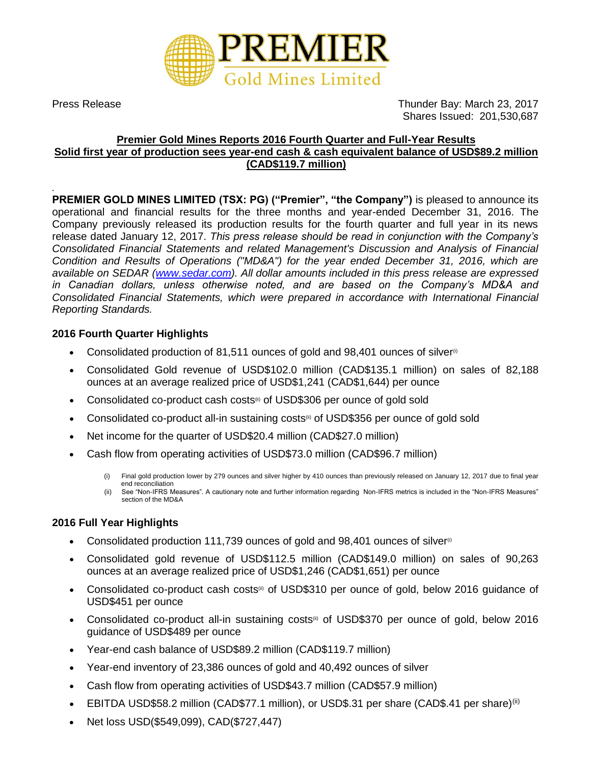

Press Release Thunder Bay: March 23, 2017 Shares Issued: 201,530,687

# **Premier Gold Mines Reports 2016 Fourth Quarter and Full-Year Results Solid first year of production sees year-end cash & cash equivalent balance of USD\$89.2 million (CAD\$119.7 million)**

*.* **PREMIER GOLD MINES LIMITED (TSX: PG) ("Premier", "the Company")** is pleased to announce its operational and financial results for the three months and year-ended December 31, 2016. The Company previously released its production results for the fourth quarter and full year in its news release dated January 12, 2017. *This press release should be read in conjunction with the Company's Consolidated Financial Statements and related Management's Discussion and Analysis of Financial Condition and Results of Operations ("MD&A") for the year ended December 31, 2016, which are available on SEDAR [\(www.sedar.com\)](http://www.sedar.com/). All dollar amounts included in this press release are expressed in Canadian dollars, unless otherwise noted, and are based on the Company's MD&A and Consolidated Financial Statements, which were prepared in accordance with International Financial Reporting Standards.*

## **2016 Fourth Quarter Highlights**

- Consolidated production of 81,511 ounces of gold and 98,401 ounces of silver $\mathbb{P}$
- Consolidated Gold revenue of USD\$102.0 million (CAD\$135.1 million) on sales of 82,188 ounces at an average realized price of USD\$1,241 (CAD\$1,644) per ounce
- Consolidated co-product cash costs<sup>®</sup> of USD\$306 per ounce of gold sold
- Consolidated co-product all-in sustaining costs<sup>®</sup> of USD\$356 per ounce of gold sold
- Net income for the quarter of USD\$20.4 million (CAD\$27.0 million)
- Cash flow from operating activities of USD\$73.0 million (CAD\$96.7 million)
	- (i) Final gold production lower by 279 ounces and silver higher by 410 ounces than previously released on January 12, 2017 due to final year end reconciliation
	- (ii) See "Non-IFRS Measures". A cautionary note and further information regarding Non-IFRS metrics is included in the "Non-IFRS Measures" section of the MD&A

## **2016 Full Year Highlights**

- Consolidated production 111,739 ounces of gold and  $98,401$  ounces of silver $\omega$
- Consolidated gold revenue of USD\$112.5 million (CAD\$149.0 million) on sales of 90,263 ounces at an average realized price of USD\$1,246 (CAD\$1,651) per ounce
- Consolidated co-product cash costs<sup>(ii)</sup> of USD\$310 per ounce of gold, below 2016 guidance of USD\$451 per ounce
- Consolidated co-product all-in sustaining costs<sup>®</sup> of USD\$370 per ounce of gold, below 2016 guidance of USD\$489 per ounce
- Year-end cash balance of USD\$89.2 million (CAD\$119.7 million)
- Year-end inventory of 23,386 ounces of gold and 40,492 ounces of silver
- Cash flow from operating activities of USD\$43.7 million (CAD\$57.9 million)
- EBITDA USD\$58.2 million (CAD\$77.1 million), or USD\$.31 per share (CAD\$.41 per share)<sup>(ii)</sup>
- Net loss USD(\$549,099), CAD(\$727,447)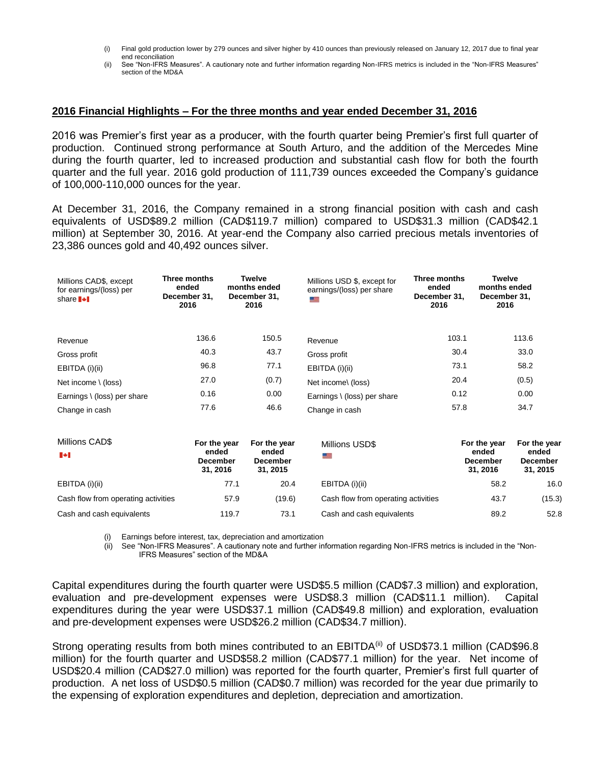- (i) Final gold production lower by 279 ounces and silver higher by 410 ounces than previously released on January 12, 2017 due to final year end reconciliation
- (ii) See "Non-IFRS Measures". A cautionary note and further information regarding Non-IFRS metrics is included in the "Non-IFRS Measures" section of the MD&A

#### **2016 Financial Highlights – For the three months and year ended December 31, 2016**

2016 was Premier's first year as a producer, with the fourth quarter being Premier's first full quarter of production. Continued strong performance at South Arturo, and the addition of the Mercedes Mine during the fourth quarter, led to increased production and substantial cash flow for both the fourth quarter and the full year. 2016 gold production of 111,739 ounces exceeded the Company's guidance of 100,000-110,000 ounces for the year.

At December 31, 2016, the Company remained in a strong financial position with cash and cash equivalents of USD\$89.2 million (CAD\$119.7 million) compared to USD\$31.3 million (CAD\$42.1 million) at September 30, 2016. At year-end the Company also carried precious metals inventories of 23,386 ounces gold and 40,492 ounces silver.

| Millions CAD\$, except<br>for earnings/(loss) per<br>share <b>I</b> <sup>+</sup> | Three months<br>ended<br>December 31.<br>2016 | Twelve<br>months ended<br>December 31,<br>2016 | Millions USD \$, except for<br>earnings/(loss) per share | Three months<br>ended<br>December 31.<br>2016 | <b>Twelve</b><br>months ended<br>December 31,<br>2016 |                  |
|----------------------------------------------------------------------------------|-----------------------------------------------|------------------------------------------------|----------------------------------------------------------|-----------------------------------------------|-------------------------------------------------------|------------------|
| Revenue                                                                          | 136.6                                         | 150.5                                          | Revenue                                                  | 103.1                                         |                                                       | 113.6            |
| Gross profit                                                                     | 40.3                                          | 43.7                                           | Gross profit                                             | 30.4                                          |                                                       | 33.0             |
| EBITDA (i)(ii)                                                                   | 96.8                                          | 77.1                                           | EBITDA (i)(ii)                                           | 73.1                                          |                                                       | 58.2             |
| Net income $\setminus$ (loss)                                                    | 27.0                                          | (0.7)                                          | Net income\ (loss)                                       | 20.4                                          |                                                       | (0.5)            |
| Earnings \ (loss) per share                                                      | 0.16                                          | 0.00                                           | Earnings \ (loss) per share                              | 0.12                                          |                                                       | 0.00             |
| Change in cash                                                                   | 77.6                                          | 46.6                                           | Change in cash                                           | 57.8                                          |                                                       | 34.7             |
| Millione CADC                                                                    | Fax the coast of                              | Fax the consul                                 | .<br>$\cdots$                                            |                                               |                                                       | E = = 41 = - - - |

| Millions CAD\$<br>$\ddotsc$         | For the year<br>ended<br>December<br>31.2016 | For the year<br>ended<br><b>December</b><br>31, 2015 | Millions USD\$                      | For the year<br>ended<br><b>December</b><br>31.2016 | For the year<br>ended<br><b>December</b><br>31, 2015 |
|-------------------------------------|----------------------------------------------|------------------------------------------------------|-------------------------------------|-----------------------------------------------------|------------------------------------------------------|
| EBITDA (i)(ii)                      | 77.1                                         | 20.4                                                 | EBITDA (i)(ii)                      | 58.2                                                | 16.0                                                 |
| Cash flow from operating activities | 57.9                                         | (19.6)                                               | Cash flow from operating activities | 43.7                                                | (15.3)                                               |
| Cash and cash equivalents           | 119.7                                        | 73.1                                                 | Cash and cash equivalents           | 89.2                                                | 52.8                                                 |

(i) Earnings before interest, tax, depreciation and amortization

(ii) See "Non-IFRS Measures". A cautionary note and further information regarding Non-IFRS metrics is included in the "Non-IFRS Measures" section of the MD&A

Capital expenditures during the fourth quarter were USD\$5.5 million (CAD\$7.3 million) and exploration, evaluation and pre-development expenses were USD\$8.3 million (CAD\$11.1 million). Capital expenditures during the year were USD\$37.1 million (CAD\$49.8 million) and exploration, evaluation and pre-development expenses were USD\$26.2 million (CAD\$34.7 million).

Strong operating results from both mines contributed to an EBITDA<sup>(ii)</sup> of USD\$73.1 million (CAD\$96.8 million) for the fourth quarter and USD\$58.2 million (CAD\$77.1 million) for the year. Net income of USD\$20.4 million (CAD\$27.0 million) was reported for the fourth quarter, Premier's first full quarter of production. A net loss of USD\$0.5 million (CAD\$0.7 million) was recorded for the year due primarily to the expensing of exploration expenditures and depletion, depreciation and amortization.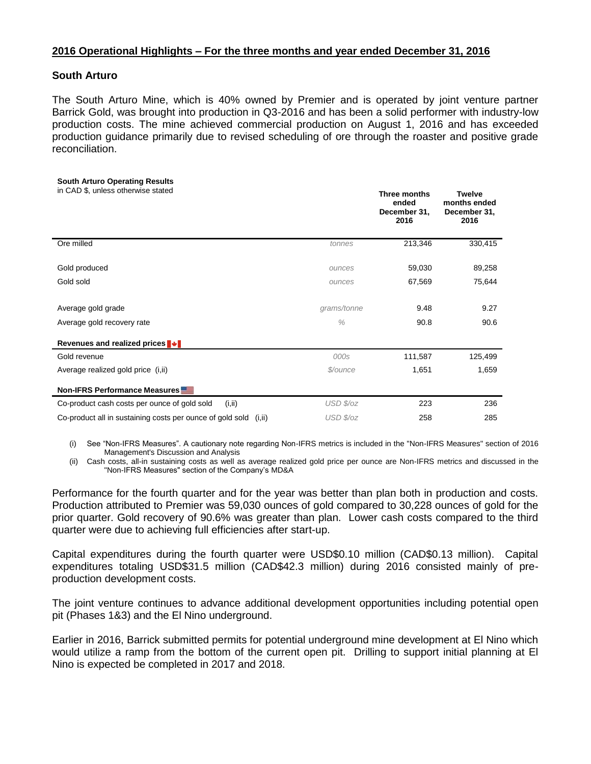## **2016 Operational Highlights – For the three months and year ended December 31, 2016**

### **South Arturo**

The South Arturo Mine, which is 40% owned by Premier and is operated by joint venture partner Barrick Gold, was brought into production in Q3-2016 and has been a solid performer with industry-low production costs. The mine achieved commercial production on August 1, 2016 and has exceeded production guidance primarily due to revised scheduling of ore through the roaster and positive grade reconciliation.

#### **South Arturo Operating Results**

| in CAD \$, unless otherwise stated |  |
|------------------------------------|--|
|------------------------------------|--|

| in CAD \$, unless otherwise stated                                   |               | Three months<br>ended<br>December 31,<br>2016 | <b>Twelve</b><br>months ended<br>December 31,<br>2016 |
|----------------------------------------------------------------------|---------------|-----------------------------------------------|-------------------------------------------------------|
| Ore milled                                                           | tonnes        | 213,346                                       | 330,415                                               |
| Gold produced                                                        | ounces        | 59,030                                        | 89,258                                                |
| Gold sold                                                            | ounces        | 67,569                                        | 75,644                                                |
| Average gold grade                                                   | grams/tonne   | 9.48                                          | 9.27                                                  |
| Average gold recovery rate                                           | $\frac{0}{0}$ | 90.8                                          | 90.6                                                  |
| Revenues and realized prices <sup>■</sup>                            |               |                                               |                                                       |
| Gold revenue                                                         | 000s          | 111,587                                       | 125,499                                               |
| Average realized gold price (i, ii)                                  | \$/ounce      | 1,651                                         | 1,659                                                 |
| Non-IFRS Performance Measures                                        |               |                                               |                                                       |
| Co-product cash costs per ounce of gold sold<br>(i, ii)              | USD \$/oz     | 223                                           | 236                                                   |
| Co-product all in sustaining costs per ounce of gold sold<br>(i, ii) | USD \$/oz     | 258                                           | 285                                                   |

(i) See "Non-IFRS Measures". A cautionary note regarding Non-IFRS metrics is included in the "Non-IFRS Measures" section of 2016 Management's Discussion and Analysis

(ii) Cash costs, all-in sustaining costs as well as average realized gold price per ounce are Non-IFRS metrics and discussed in the "Non-IFRS Measures" section of the Company's MD&A

Performance for the fourth quarter and for the year was better than plan both in production and costs. Production attributed to Premier was 59,030 ounces of gold compared to 30,228 ounces of gold for the prior quarter. Gold recovery of 90.6% was greater than plan. Lower cash costs compared to the third quarter were due to achieving full efficiencies after start-up.

Capital expenditures during the fourth quarter were USD\$0.10 million (CAD\$0.13 million). Capital expenditures totaling USD\$31.5 million (CAD\$42.3 million) during 2016 consisted mainly of preproduction development costs.

The joint venture continues to advance additional development opportunities including potential open pit (Phases 1&3) and the El Nino underground.

Earlier in 2016, Barrick submitted permits for potential underground mine development at El Nino which would utilize a ramp from the bottom of the current open pit. Drilling to support initial planning at El Nino is expected be completed in 2017 and 2018.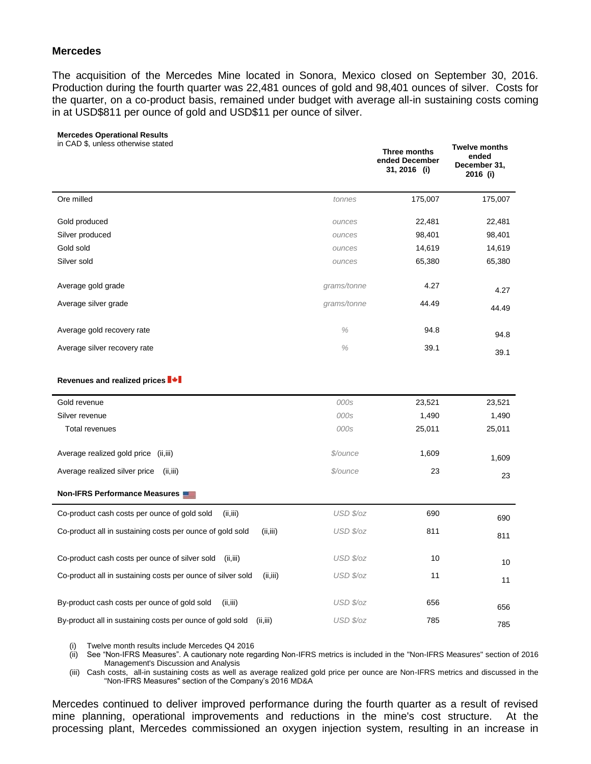### **Mercedes**

The acquisition of the Mercedes Mine located in Sonora, Mexico closed on September 30, 2016. Production during the fourth quarter was 22,481 ounces of gold and 98,401 ounces of silver. Costs for the quarter, on a co-product basis, remained under budget with average all-in sustaining costs coming in at USD\$811 per ounce of gold and USD\$11 per ounce of silver.

#### **Mercedes Operational Results**

in CAD \$, unless otherwise stated

| in CAD \$, unless otherwise stated                                       |             | Three months<br>ended December<br>31, 2016 (i) | <b>Twelve months</b><br>ended<br>December 31,<br>2016 (i) |
|--------------------------------------------------------------------------|-------------|------------------------------------------------|-----------------------------------------------------------|
| Ore milled                                                               | tonnes      | 175,007                                        | 175,007                                                   |
| Gold produced                                                            | ounces      | 22,481                                         | 22,481                                                    |
| Silver produced                                                          | ounces      | 98,401                                         | 98,401                                                    |
| Gold sold                                                                | ounces      | 14,619                                         | 14,619                                                    |
| Silver sold                                                              | ounces      | 65,380                                         | 65,380                                                    |
| Average gold grade                                                       | grams/tonne | 4.27                                           | 4.27                                                      |
| Average silver grade                                                     | grams/tonne | 44.49                                          | 44.49                                                     |
| Average gold recovery rate                                               | $\%$        | 94.8                                           | 94.8                                                      |
| Average silver recovery rate                                             | $\%$        | 39.1                                           | 39.1                                                      |
| Revenues and realized prices ■ ◆                                         |             |                                                |                                                           |
| Gold revenue                                                             | 000s        | 23,521                                         | 23,521                                                    |
| Silver revenue                                                           | 000s        | 1,490                                          | 1,490                                                     |
| <b>Total revenues</b>                                                    | 000s        | 25,011                                         | 25,011                                                    |
| Average realized gold price (ii, iii)                                    | \$/ounce    | 1,609                                          | 1,609                                                     |
| Average realized silver price<br>(ii, iii)                               | \$/ounce    | 23                                             | 23                                                        |
| Non-IFRS Performance Measures                                            |             |                                                |                                                           |
| Co-product cash costs per ounce of gold sold<br>(ii, iii)                | USD \$/oz   | 690                                            | 690                                                       |
| Co-product all in sustaining costs per ounce of gold sold<br>(ii, iii)   | USD \$/oz   | 811                                            | 811                                                       |
| Co-product cash costs per ounce of silver sold<br>(ii, iii)              | USD \$/oz   | 10                                             | 10                                                        |
| Co-product all in sustaining costs per ounce of silver sold<br>(ii, iii) | USD \$/oz   | 11                                             | 11                                                        |
| By-product cash costs per ounce of gold sold<br>(ii, iii)                | USD \$/oz   | 656                                            | 656                                                       |
| By-product all in sustaining costs per ounce of gold sold<br>(ii, iii)   | USD \$/oz   | 785                                            | 785                                                       |

(i) Twelve month results include Mercedes Q4 2016

(ii) See "Non-IFRS Measures". A cautionary note regarding Non-IFRS metrics is included in the "Non-IFRS Measures" section of 2016 Management's Discussion and Analysis

(iii) Cash costs, all-in sustaining costs as well as average realized gold price per ounce are Non-IFRS metrics and discussed in the "Non-IFRS Measures" section of the Company's 2016 MD&A

Mercedes continued to deliver improved performance during the fourth quarter as a result of revised mine planning, operational improvements and reductions in the mine's cost structure. At the processing plant, Mercedes commissioned an oxygen injection system, resulting in an increase in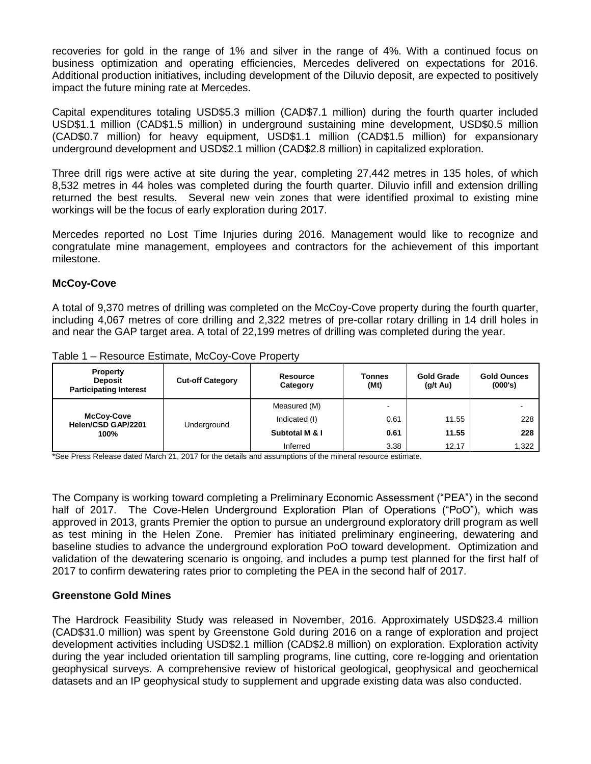recoveries for gold in the range of 1% and silver in the range of 4%. With a continued focus on business optimization and operating efficiencies, Mercedes delivered on expectations for 2016. Additional production initiatives, including development of the Diluvio deposit, are expected to positively impact the future mining rate at Mercedes.

Capital expenditures totaling USD\$5.3 million (CAD\$7.1 million) during the fourth quarter included USD\$1.1 million (CAD\$1.5 million) in underground sustaining mine development, USD\$0.5 million (CAD\$0.7 million) for heavy equipment, USD\$1.1 million (CAD\$1.5 million) for expansionary underground development and USD\$2.1 million (CAD\$2.8 million) in capitalized exploration.

Three drill rigs were active at site during the year, completing 27,442 metres in 135 holes, of which 8,532 metres in 44 holes was completed during the fourth quarter. Diluvio infill and extension drilling returned the best results. Several new vein zones that were identified proximal to existing mine workings will be the focus of early exploration during 2017.

Mercedes reported no Lost Time Injuries during 2016. Management would like to recognize and congratulate mine management, employees and contractors for the achievement of this important milestone.

## **McCoy-Cove**

A total of 9,370 metres of drilling was completed on the McCoy-Cove property during the fourth quarter, including 4,067 metres of core drilling and 2,322 metres of pre-collar rotary drilling in 14 drill holes in and near the GAP target area. A total of 22,199 metres of drilling was completed during the year.

| <b>Property</b><br><b>Deposit</b><br><b>Participating Interest</b> | <b>Cut-off Category</b> | Resource<br>Category | <b>Tonnes</b><br>(Mt)    | <b>Gold Grade</b><br>$(q/t \text{ Au})$ | <b>Gold Ounces</b><br>(000's) |
|--------------------------------------------------------------------|-------------------------|----------------------|--------------------------|-----------------------------------------|-------------------------------|
| McCoy-Cove<br>Helen/CSD GAP/2201                                   | Underground             | Measured (M)         | $\overline{\phantom{0}}$ |                                         |                               |
|                                                                    |                         | Indicated (I)        | 0.61                     | 11.55                                   | 228                           |
| 100%                                                               |                         | Subtotal M & I       | 0.61                     | 11.55                                   | 228                           |
|                                                                    |                         | Inferred             | 3.38                     | 12.17                                   | 1.322                         |

Table 1 – Resource Estimate, McCoy-Cove Property

\*See Press Release dated March 21, 2017 for the details and assumptions of the mineral resource estimate.

The Company is working toward completing a Preliminary Economic Assessment ("PEA") in the second half of 2017. The Cove-Helen Underground Exploration Plan of Operations ("PoO"), which was approved in 2013, grants Premier the option to pursue an underground exploratory drill program as well as test mining in the Helen Zone. Premier has initiated preliminary engineering, dewatering and baseline studies to advance the underground exploration PoO toward development. Optimization and validation of the dewatering scenario is ongoing, and includes a pump test planned for the first half of 2017 to confirm dewatering rates prior to completing the PEA in the second half of 2017.

### **Greenstone Gold Mines**

The Hardrock Feasibility Study was released in November, 2016. Approximately USD\$23.4 million (CAD\$31.0 million) was spent by Greenstone Gold during 2016 on a range of exploration and project development activities including USD\$2.1 million (CAD\$2.8 million) on exploration. Exploration activity during the year included orientation till sampling programs, line cutting, core re-logging and orientation geophysical surveys. A comprehensive review of historical geological, geophysical and geochemical datasets and an IP geophysical study to supplement and upgrade existing data was also conducted.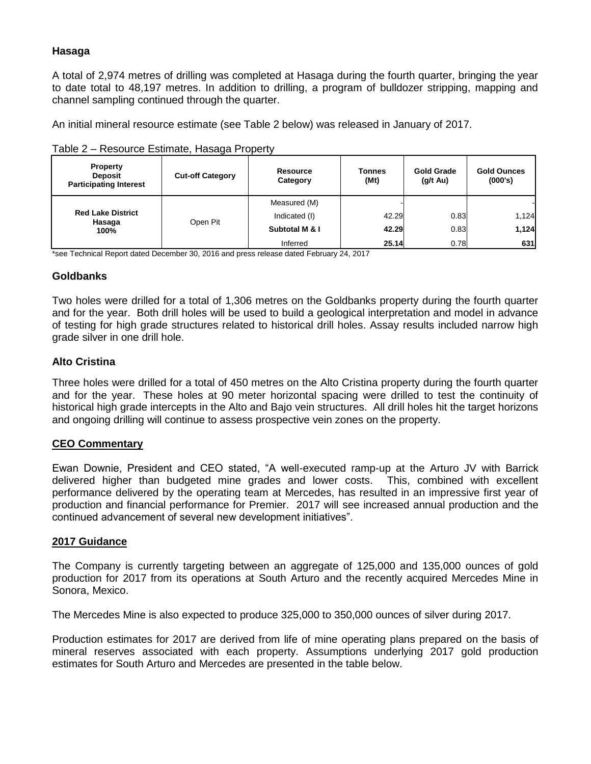# **Hasaga**

A total of 2,974 metres of drilling was completed at Hasaga during the fourth quarter, bringing the year to date total to 48,197 metres. In addition to drilling, a program of bulldozer stripping, mapping and channel sampling continued through the quarter.

An initial mineral resource estimate (see Table 2 below) was released in January of 2017.

| Table 2 – Resource Estimate, Hasaga Property |  |  |
|----------------------------------------------|--|--|
|                                              |  |  |

| <b>Property</b><br><b>Deposit</b><br><b>Participating Interest</b> | <b>Cut-off Category</b> | Resource<br>Category | Tonnes<br>(Mt) | <b>Gold Grade</b><br>$(g/t \, Au)$ | <b>Gold Ounces</b><br>(000's) |
|--------------------------------------------------------------------|-------------------------|----------------------|----------------|------------------------------------|-------------------------------|
|                                                                    |                         | Measured (M)         |                |                                    |                               |
| <b>Red Lake District</b><br>Hasaga                                 | Open Pit                | Indicated (I)        | 42.29          | 0.83                               | 1,124                         |
| 100%                                                               |                         | Subtotal M & I       | 42.29          | 0.83                               | 1,124                         |
|                                                                    |                         | Inferred             | 25.14          | 0.78                               | 631                           |

\*see Technical Report dated December 30, 2016 and press release dated February 24, 2017

## **Goldbanks**

Two holes were drilled for a total of 1,306 metres on the Goldbanks property during the fourth quarter and for the year. Both drill holes will be used to build a geological interpretation and model in advance of testing for high grade structures related to historical drill holes. Assay results included narrow high grade silver in one drill hole.

## **Alto Cristina**

Three holes were drilled for a total of 450 metres on the Alto Cristina property during the fourth quarter and for the year. These holes at 90 meter horizontal spacing were drilled to test the continuity of historical high grade intercepts in the Alto and Bajo vein structures. All drill holes hit the target horizons and ongoing drilling will continue to assess prospective vein zones on the property.

## **CEO Commentary**

Ewan Downie, President and CEO stated, "A well-executed ramp-up at the Arturo JV with Barrick delivered higher than budgeted mine grades and lower costs. This, combined with excellent performance delivered by the operating team at Mercedes, has resulted in an impressive first year of production and financial performance for Premier. 2017 will see increased annual production and the continued advancement of several new development initiatives".

### **2017 Guidance**

The Company is currently targeting between an aggregate of 125,000 and 135,000 ounces of gold production for 2017 from its operations at South Arturo and the recently acquired Mercedes Mine in Sonora, Mexico.

The Mercedes Mine is also expected to produce 325,000 to 350,000 ounces of silver during 2017.

Production estimates for 2017 are derived from life of mine operating plans prepared on the basis of mineral reserves associated with each property. Assumptions underlying 2017 gold production estimates for South Arturo and Mercedes are presented in the table below.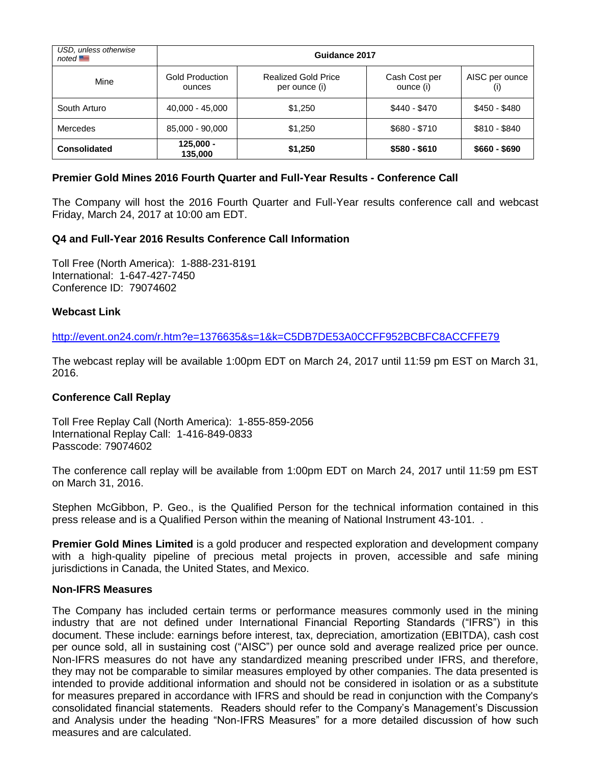| USD, unless otherwise<br>noted | Guidance 2017                    |                                             |                            |                       |  |  |
|--------------------------------|----------------------------------|---------------------------------------------|----------------------------|-----------------------|--|--|
| Mine                           | <b>Gold Production</b><br>ounces | <b>Realized Gold Price</b><br>per ounce (i) | Cash Cost per<br>ounce (i) | AISC per ounce<br>(۱) |  |  |
| South Arturo                   | 40,000 - 45,000                  | \$1,250                                     | \$440 - \$470              | $$450 - $480$         |  |  |
| Mercedes                       | 85,000 - 90,000                  | \$1,250                                     | \$680 - \$710              | $$810 - $840$         |  |  |
| <b>Consolidated</b>            | $125,000 -$<br>135,000           | \$1,250                                     | $$580 - $610$              | $$660 - $690$         |  |  |

## **Premier Gold Mines 2016 Fourth Quarter and Full-Year Results - Conference Call**

The Company will host the 2016 Fourth Quarter and Full-Year results conference call and webcast Friday, March 24, 2017 at 10:00 am EDT.

## **Q4 and Full-Year 2016 Results Conference Call Information**

Toll Free (North America): 1-888-231-8191 International: 1-647-427-7450 Conference ID: 79074602

### **Webcast Link**

<http://event.on24.com/r.htm?e=1376635&s=1&k=C5DB7DE53A0CCFF952BCBFC8ACCFFE79>

The webcast replay will be available 1:00pm EDT on March 24, 2017 until 11:59 pm EST on March 31, 2016.

### **Conference Call Replay**

Toll Free Replay Call (North America): 1-855-859-2056 International Replay Call: 1-416-849-0833 Passcode: 79074602

The conference call replay will be available from 1:00pm EDT on March 24, 2017 until 11:59 pm EST on March 31, 2016.

Stephen McGibbon, P. Geo., is the Qualified Person for the technical information contained in this press release and is a Qualified Person within the meaning of National Instrument 43-101. .

**Premier Gold Mines Limited** is a gold producer and respected exploration and development company with a high-quality pipeline of precious metal projects in proven, accessible and safe mining jurisdictions in Canada, the United States, and Mexico.

### **Non-IFRS Measures**

The Company has included certain terms or performance measures commonly used in the mining industry that are not defined under International Financial Reporting Standards ("IFRS") in this document. These include: earnings before interest, tax, depreciation, amortization (EBITDA), cash cost per ounce sold, all in sustaining cost ("AISC") per ounce sold and average realized price per ounce. Non-IFRS measures do not have any standardized meaning prescribed under IFRS, and therefore, they may not be comparable to similar measures employed by other companies. The data presented is intended to provide additional information and should not be considered in isolation or as a substitute for measures prepared in accordance with IFRS and should be read in conjunction with the Company's consolidated financial statements. Readers should refer to the Company's Management's Discussion and Analysis under the heading "Non-IFRS Measures" for a more detailed discussion of how such measures and are calculated.